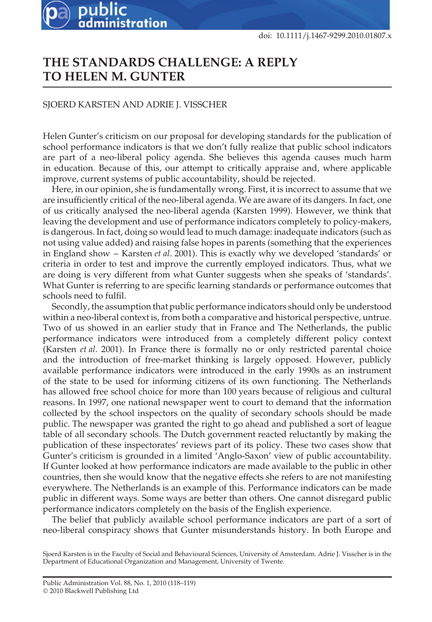## **THE STANDARDS CHALLENGE: A REPLY TO HELEN M. GUNTER**

## SJOERD KARSTEN AND ADRIE J. VISSCHER

public<br>administration

Helen Gunter's criticism on our proposal for developing standards for the publication of school performance indicators is that we don't fully realize that public school indicators are part of a neo-liberal policy agenda. She believes this agenda causes much harm in education. Because of this, our attempt to critically appraise and, where applicable improve, current systems of public accountability, should be rejected.

Here, in our opinion, she is fundamentally wrong. First, it is incorrect to assume that we are insufficiently critical of the neo-liberal agenda. We are aware of its dangers. In fact, one of us critically analysed the neo-liberal agenda (Karsten 1999). However, we think that leaving the development and use of performance indicators completely to policy-makers, is dangerous. In fact, doing so would lead to much damage: inadequate indicators (such as not using value added) and raising false hopes in parents (something that the experiences in England show – Karsten *et al*. 2001). This is exactly why we developed 'standards' or criteria in order to test and improve the currently employed indicators. Thus, what we are doing is very different from what Gunter suggests when she speaks of 'standards'. What Gunter is referring to are specific learning standards or performance outcomes that schools need to fulfil.

Secondly, the assumption that public performance indicators should only be understood within a neo-liberal context is, from both a comparative and historical perspective, untrue. Two of us showed in an earlier study that in France and The Netherlands, the public performance indicators were introduced from a completely different policy context (Karsten *et al*. 2001). In France there is formally no or only restricted parental choice and the introduction of free-market thinking is largely opposed. However, publicly available performance indicators were introduced in the early 1990s as an instrument of the state to be used for informing citizens of its own functioning. The Netherlands has allowed free school choice for more than 100 years because of religious and cultural reasons. In 1997, one national newspaper went to court to demand that the information collected by the school inspectors on the quality of secondary schools should be made public. The newspaper was granted the right to go ahead and published a sort of league table of all secondary schools. The Dutch government reacted reluctantly by making the publication of these inspectorates' reviews part of its policy. These two cases show that Gunter's criticism is grounded in a limited 'Anglo-Saxon' view of public accountability. If Gunter looked at how performance indicators are made available to the public in other countries, then she would know that the negative effects she refers to are not manifesting everywhere. The Netherlands is an example of this. Performance indicators can be made public in different ways. Some ways are better than others. One cannot disregard public performance indicators completely on the basis of the English experience.

The belief that publicly available school performance indicators are part of a sort of neo-liberal conspiracy shows that Gunter misunderstands history. In both Europe and

Sjoerd Karsten is in the Faculty of Social and Behavioural Sciences, University of Amsterdam. Adrie J. Visscher is in the Department of Educational Organization and Management, University of Twente.